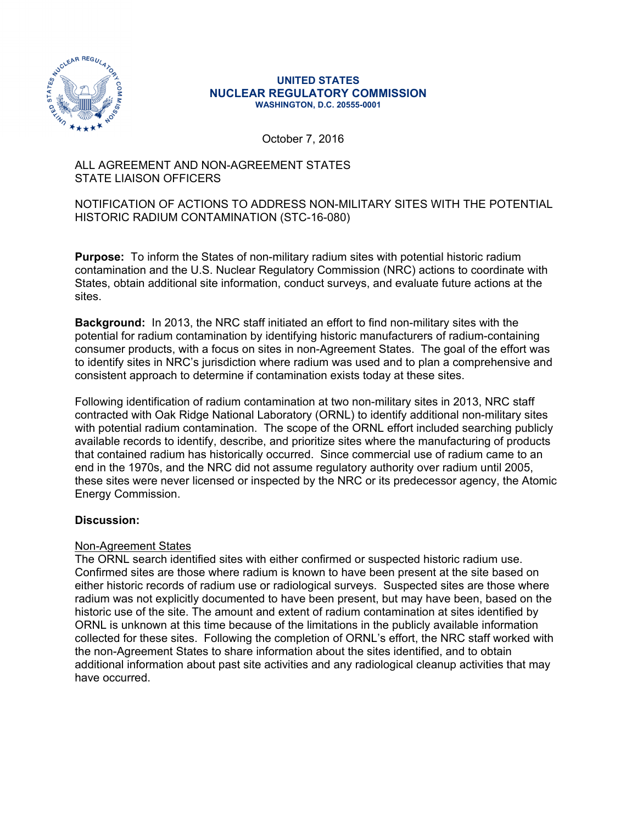

#### **UNITED STATES NUCLEAR REGULATORY COMMISSION WASHINGTON, D.C. 20555-0001**

October 7, 2016

# ALL AGREEMENT AND NON-AGREEMENT STATES STATE LIAISON OFFICERS

# NOTIFICATION OF ACTIONS TO ADDRESS NON-MILITARY SITES WITH THE POTENTIAL HISTORIC RADIUM CONTAMINATION (STC-16-080)

**Purpose:** To inform the States of non-military radium sites with potential historic radium contamination and the U.S. Nuclear Regulatory Commission (NRC) actions to coordinate with States, obtain additional site information, conduct surveys, and evaluate future actions at the sites.

**Background:** In 2013, the NRC staff initiated an effort to find non-military sites with the potential for radium contamination by identifying historic manufacturers of radium-containing consumer products, with a focus on sites in non-Agreement States. The goal of the effort was to identify sites in NRC's jurisdiction where radium was used and to plan a comprehensive and consistent approach to determine if contamination exists today at these sites.

Following identification of radium contamination at two non-military sites in 2013, NRC staff contracted with Oak Ridge National Laboratory (ORNL) to identify additional non-military sites with potential radium contamination. The scope of the ORNL effort included searching publicly available records to identify, describe, and prioritize sites where the manufacturing of products that contained radium has historically occurred. Since commercial use of radium came to an end in the 1970s, and the NRC did not assume regulatory authority over radium until 2005, these sites were never licensed or inspected by the NRC or its predecessor agency, the Atomic Energy Commission.

# **Discussion:**

# Non-Agreement States

The ORNL search identified sites with either confirmed or suspected historic radium use. Confirmed sites are those where radium is known to have been present at the site based on either historic records of radium use or radiological surveys. Suspected sites are those where radium was not explicitly documented to have been present, but may have been, based on the historic use of the site. The amount and extent of radium contamination at sites identified by ORNL is unknown at this time because of the limitations in the publicly available information collected for these sites. Following the completion of ORNL's effort, the NRC staff worked with the non-Agreement States to share information about the sites identified, and to obtain additional information about past site activities and any radiological cleanup activities that may have occurred.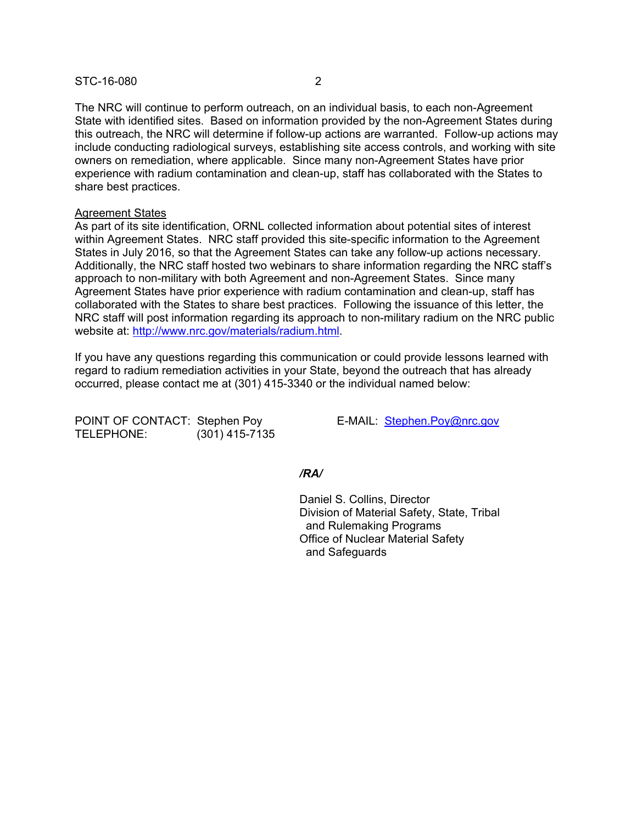### STC-16-080 2

The NRC will continue to perform outreach, on an individual basis, to each non-Agreement State with identified sites. Based on information provided by the non-Agreement States during this outreach, the NRC will determine if follow-up actions are warranted. Follow-up actions may include conducting radiological surveys, establishing site access controls, and working with site owners on remediation, where applicable. Since many non-Agreement States have prior experience with radium contamination and clean-up, staff has collaborated with the States to share best practices.

# Agreement States

As part of its site identification, ORNL collected information about potential sites of interest within Agreement States. NRC staff provided this site-specific information to the Agreement States in July 2016, so that the Agreement States can take any follow-up actions necessary. Additionally, the NRC staff hosted two webinars to share information regarding the NRC staff's approach to non-military with both Agreement and non-Agreement States. Since many Agreement States have prior experience with radium contamination and clean-up, staff has collaborated with the States to share best practices. Following the issuance of this letter, the NRC staff will post information regarding its approach to non-military radium on the NRC public website at: http://www.nrc.gov/materials/radium.html.

If you have any questions regarding this communication or could provide lessons learned with regard to radium remediation activities in your State, beyond the outreach that has already occurred, please contact me at (301) 415-3340 or the individual named below:

POINT OF CONTACT: Stephen Poy E-MAIL: Stephen.Poy@nrc.gov TELEPHONE: (301) 415-7135

#### */RA/*

 Daniel S. Collins, Director Division of Material Safety, State, Tribal and Rulemaking Programs Office of Nuclear Material Safety and Safeguards